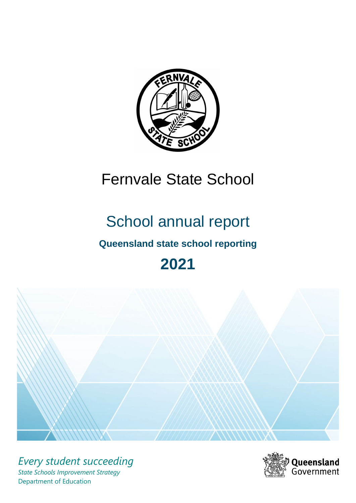

# Fernvale State School

# School annual report

# **Queensland state school reporting**

# **2021**



*Every student succeeding State Schools Improvement Strategy* Department of Education

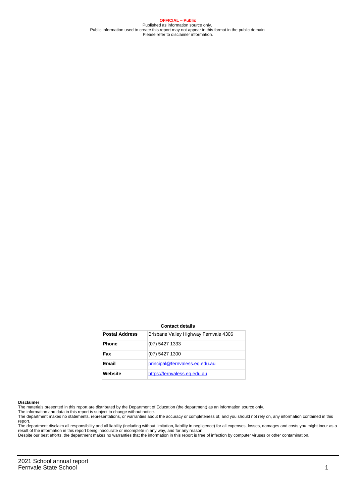**OFFICIAL – Public** Published as information source only. Public information used to create this report may not appear in this format in the public domain Please refer to disclaimer information.

#### **Contact details**

| <b>Postal Address</b> | Brisbane Valley Highway Fernyale 4306 |
|-----------------------|---------------------------------------|
| <b>Phone</b>          | (07) 5427 1333                        |
| Fax                   | (07) 5427 1300                        |
| Email                 | principal@fernvaless.eq.edu.au        |
| Website               | https://fernvaless.eq.edu.au          |

#### **Disclaimer**

The materials presented in this report are distributed by the Department of Education (the department) as an information source only.

The information and data in this report is subject to change without notice.<br>The department makes no statements, representations, or warranties about the accuracy or completeness of, and you should not rely on, any informa report.

The department disclaim all responsibility and all liability (including without limitation, liability in negligence) for all expenses, losses, damages and costs you might incur as a result of the information in this report being inaccurate or incomplete in any way, and for any reason.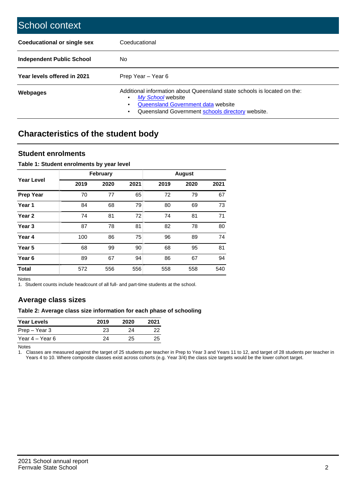| School context                   |                                                                                                                                                                                              |
|----------------------------------|----------------------------------------------------------------------------------------------------------------------------------------------------------------------------------------------|
| Coeducational or single sex      | Coeducational                                                                                                                                                                                |
| <b>Independent Public School</b> | No.                                                                                                                                                                                          |
| Year levels offered in 2021      | Prep Year - Year 6                                                                                                                                                                           |
| Webpages                         | Additional information about Queensland state schools is located on the:<br>My School website<br>Queensland Government data website<br>Queensland Government schools directory website.<br>٠ |

# **Characteristics of the student body**

### **Student enrolments**

#### **Table 1: Student enrolments by year level**

|                   |      | <b>February</b> |      |      | <b>August</b> |      |
|-------------------|------|-----------------|------|------|---------------|------|
| <b>Year Level</b> | 2019 | 2020            | 2021 | 2019 | 2020          | 2021 |
| <b>Prep Year</b>  | 70   | 77              | 65   | 72   | 79            | 67   |
| Year 1            | 84   | 68              | 79   | 80   | 69            | 73   |
| Year 2            | 74   | 81              | 72   | 74   | 81            | 71   |
| Year <sub>3</sub> | 87   | 78              | 81   | 82   | 78            | 80   |
| Year 4            | 100  | 86              | 75   | 96   | 89            | 74   |
| Year <sub>5</sub> | 68   | 99              | 90   | 68   | 95            | 81   |
| Year <sub>6</sub> | 89   | 67              | 94   | 86   | 67            | 94   |
| <b>Total</b>      | 572  | 556             | 556  | 558  | 558           | 540  |

Notes

1. Student counts include headcount of all full- and part-time students at the school.

## **Average class sizes**

#### **Table 2: Average class size information for each phase of schooling**

| <b>Year Levels</b> | 2019 | 2020 | 2021 |
|--------------------|------|------|------|
| Prep – Year 3      | 23   | 24   | 22   |
| Year 4 – Year 6    | 24   | 25.  | 25   |

Notes

1. Classes are measured against the target of 25 students per teacher in Prep to Year 3 and Years 11 to 12, and target of 28 students per teacher in Years 4 to 10. Where composite classes exist across cohorts (e.g. Year 3/4) the class size targets would be the lower cohort target.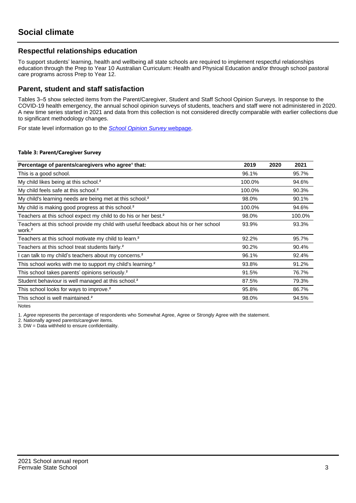## **Respectful relationships education**

To support students' learning, health and wellbeing all state schools are required to implement respectful relationships education through the Prep to Year 10 Australian Curriculum: Health and Physical Education and/or through school pastoral care programs across Prep to Year 12.

### **Parent, student and staff satisfaction**

Tables 3–5 show selected items from the Parent/Caregiver, Student and Staff School Opinion Surveys. In response to the COVID-19 health emergency, the annual school opinion surveys of students, teachers and staff were not administered in 2020. A new time series started in 2021 and data from this collection is not considered directly comparable with earlier collections due to significant methodology changes.

For state level information go to the **[School Opinion Survey](https://qed.qld.gov.au/publications/reports/statistics/schooling/schools/schoolopinionsurvey) webpage**.

#### **Table 3: Parent/Caregiver Survey**

| Percentage of parents/caregivers who agree <sup>1</sup> that:                                               | 2019   | 2020 | 2021   |
|-------------------------------------------------------------------------------------------------------------|--------|------|--------|
| This is a good school.                                                                                      | 96.1%  |      | 95.7%  |
| My child likes being at this school. <sup>2</sup>                                                           | 100.0% |      | 94.6%  |
| My child feels safe at this school. <sup>2</sup>                                                            | 100.0% |      | 90.3%  |
| My child's learning needs are being met at this school. <sup>2</sup>                                        | 98.0%  |      | 90.1%  |
| My child is making good progress at this school. <sup>2</sup>                                               | 100.0% |      | 94.6%  |
| Teachers at this school expect my child to do his or her best. <sup>2</sup>                                 | 98.0%  |      | 100.0% |
| Teachers at this school provide my child with useful feedback about his or her school<br>work. <sup>2</sup> | 93.9%  |      | 93.3%  |
| Teachers at this school motivate my child to learn. <sup>2</sup>                                            | 92.2%  |      | 95.7%  |
| Teachers at this school treat students fairly. <sup>2</sup>                                                 | 90.2%  |      | 90.4%  |
| I can talk to my child's teachers about my concerns. <sup>2</sup>                                           | 96.1%  |      | 92.4%  |
| This school works with me to support my child's learning. <sup>2</sup>                                      | 93.8%  |      | 91.2%  |
| This school takes parents' opinions seriously. <sup>2</sup>                                                 | 91.5%  |      | 76.7%  |
| Student behaviour is well managed at this school. <sup>2</sup>                                              | 87.5%  |      | 79.3%  |
| This school looks for ways to improve. <sup>2</sup>                                                         | 95.8%  |      | 86.7%  |
| This school is well maintained. <sup>2</sup>                                                                | 98.0%  |      | 94.5%  |

Notes

1. Agree represents the percentage of respondents who Somewhat Agree, Agree or Strongly Agree with the statement.

2. Nationally agreed parents/caregiver items.

3. DW = Data withheld to ensure confidentiality.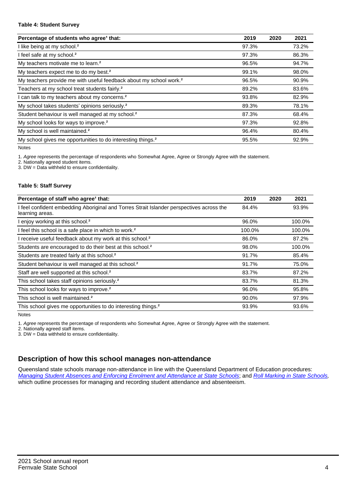#### **Table 4: Student Survey**

| Percentage of students who agree <sup>1</sup> that:                            | 2019  | 2020 | 2021  |
|--------------------------------------------------------------------------------|-------|------|-------|
| I like being at my school. <sup>2</sup>                                        | 97.3% |      | 73.2% |
| I feel safe at my school. <sup>2</sup>                                         | 97.3% |      | 86.3% |
| My teachers motivate me to learn. <sup>2</sup>                                 | 96.5% |      | 94.7% |
| My teachers expect me to do my best. <sup>2</sup>                              | 99.1% |      | 98.0% |
| My teachers provide me with useful feedback about my school work. <sup>2</sup> | 96.5% |      | 90.9% |
| Teachers at my school treat students fairly. <sup>2</sup>                      | 89.2% |      | 83.6% |
| I can talk to my teachers about my concerns. <sup>2</sup>                      | 93.8% |      | 82.9% |
| My school takes students' opinions seriously. <sup>2</sup>                     | 89.3% |      | 78.1% |
| Student behaviour is well managed at my school. <sup>2</sup>                   | 87.3% |      | 68.4% |
| My school looks for ways to improve. <sup>2</sup>                              | 97.3% |      | 92.8% |
| My school is well maintained. <sup>2</sup>                                     | 96.4% |      | 80.4% |
| My school gives me opportunities to do interesting things. <sup>2</sup>        | 95.5% |      | 92.9% |

Notes

1. Agree represents the percentage of respondents who Somewhat Agree, Agree or Strongly Agree with the statement.

2. Nationally agreed student items.

3. DW = Data withheld to ensure confidentiality.

#### **Table 5: Staff Survey**

| Percentage of staff who agree <sup>1</sup> that:                                                            | 2019   | 2020 | 2021   |
|-------------------------------------------------------------------------------------------------------------|--------|------|--------|
| I feel confident embedding Aboriginal and Torres Strait Islander perspectives across the<br>learning areas. | 84.4%  |      | 93.9%  |
| I enjoy working at this school. <sup>2</sup>                                                                | 96.0%  |      | 100.0% |
| I feel this school is a safe place in which to work. <sup>2</sup>                                           | 100.0% |      | 100.0% |
| I receive useful feedback about my work at this school. <sup>2</sup>                                        | 86.0%  |      | 87.2%  |
| Students are encouraged to do their best at this school. <sup>2</sup>                                       | 98.0%  |      | 100.0% |
| Students are treated fairly at this school. <sup>2</sup>                                                    | 91.7%  |      | 85.4%  |
| Student behaviour is well managed at this school. <sup>2</sup>                                              | 91.7%  |      | 75.0%  |
| Staff are well supported at this school. <sup>2</sup>                                                       | 83.7%  |      | 87.2%  |
| This school takes staff opinions seriously. <sup>2</sup>                                                    | 83.7%  |      | 81.3%  |
| This school looks for ways to improve. <sup>2</sup>                                                         | 96.0%  |      | 95.8%  |
| This school is well maintained. <sup>2</sup>                                                                | 90.0%  |      | 97.9%  |
| This school gives me opportunities to do interesting things. <sup>2</sup>                                   | 93.9%  |      | 93.6%  |

Notes

1. Agree represents the percentage of respondents who Somewhat Agree, Agree or Strongly Agree with the statement.

2. Nationally agreed staff items.

3. DW = Data withheld to ensure confidentiality.

## **Description of how this school manages non-attendance**

Queensland state schools manage non-attendance in line with the Queensland Department of Education procedures: [Managing Student Absences and Enforcing Enrolment and Attendance at State Schools](https://ppr.qed.qld.gov.au/pp/managing-student-absences-and-enforcing-enrolment-and-attendance-at-state-schools-procedure); and [Roll Marking in State Schools,](https://ppr.qed.qld.gov.au/pp/roll-marking-in-state-schools-procedure) which outline processes for managing and recording student attendance and absenteeism.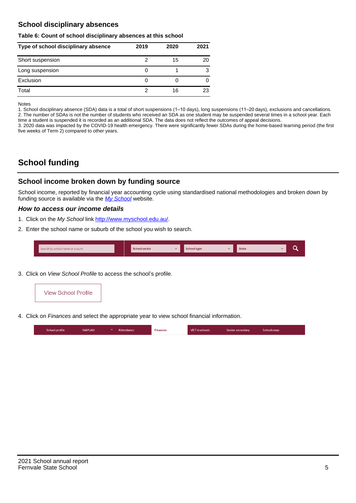## **School disciplinary absences**

#### **Table 6: Count of school disciplinary absences at this school**

| Type of school disciplinary absence | 2019 | 2020 | 2021 |
|-------------------------------------|------|------|------|
| Short suspension                    |      | 15   | 20   |
| Long suspension                     | O    |      | 3    |
| Exclusion                           | O    |      |      |
| Total                               |      | 16   | 23   |

Notes

1. School disciplinary absence (SDA) data is a total of short suspensions (1–10 days), long suspensions (11–20 days), exclusions and cancellations. 2. The number of SDAs is not the number of students who received an SDA as one student may be suspended several times in a school year. Each time a student is suspended it is recorded as an additional SDA. The data does not reflect the outcomes of appeal decisions.

3. 2020 data was impacted by the COVID-19 health emergency. There were significantly fewer SDAs during the home-based learning period (the first five weeks of Term 2) compared to other years.

# **School funding**

## **School income broken down by funding source**

School income, reported by financial year accounting cycle using standardised national methodologies and broken down by funding source is available via the  $My$  School website.

#### **How to access our income details**

- 1. Click on the My School link <http://www.myschool.edu.au/>.
- 2. Enter the school name or suburb of the school you wish to search.

| Search by school name or suburb | <b>School sector</b> | $\sim$ ochool type | <b>State</b> |  |  |
|---------------------------------|----------------------|--------------------|--------------|--|--|
|                                 |                      |                    |              |  |  |

3. Click on View School Profile to access the school's profile.



4. Click on Finances and select the appropriate year to view school financial information.

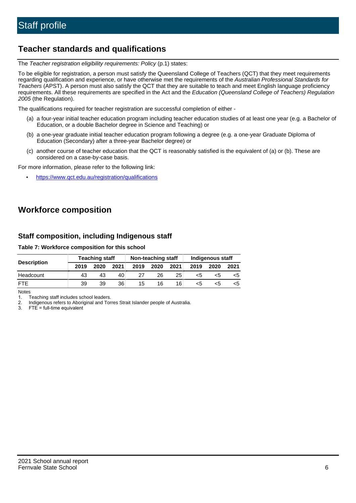## **Teacher standards and qualifications**

The Teacher registration eligibility requirements: Policy (p.1) states:

To be eligible for registration, a person must satisfy the Queensland College of Teachers (QCT) that they meet requirements regarding qualification and experience, or have otherwise met the requirements of the Australian Professional Standards for Teachers (APST). A person must also satisfy the QCT that they are suitable to teach and meet English language proficiency requirements. All these requirements are specified in the Act and the Education (Queensland College of Teachers) Regulation 2005 (the Regulation).

The qualifications required for teacher registration are successful completion of either -

- (a) a four-year initial teacher education program including teacher education studies of at least one year (e.g. a Bachelor of Education, or a double Bachelor degree in Science and Teaching) or
- (b) a one-year graduate initial teacher education program following a degree (e.g. a one-year Graduate Diploma of Education (Secondary) after a three-year Bachelor degree) or
- (c) another course of teacher education that the QCT is reasonably satisfied is the equivalent of (a) or (b). These are considered on a case-by-case basis.

For more information, please refer to the following link:

• <https://www.qct.edu.au/registration/qualifications>

# **Workforce composition**

## **Staff composition, including Indigenous staff**

#### **Table 7: Workforce composition for this school**

|                    | <b>Teaching staff</b> |      |      | Non-teaching staff |      |      | Indigenous staff |      |      |
|--------------------|-----------------------|------|------|--------------------|------|------|------------------|------|------|
| <b>Description</b> | 2019                  | 2020 | 2021 | 2019               | 2020 | 2021 | 2019             | 2020 | 2021 |
| Headcount          | 43                    | 43   | 40   |                    | 26   | 25   | <5               | <5   |      |
| <b>FTF</b>         | 39                    | 39   | 36   | 15                 | 16   | 16   | <5               | ה>   |      |

Notes

1. Teaching staff includes school leaders.

2. Indigenous refers to Aboriginal and Torres Strait Islander people of Australia.

3. FTE = full-time equivalent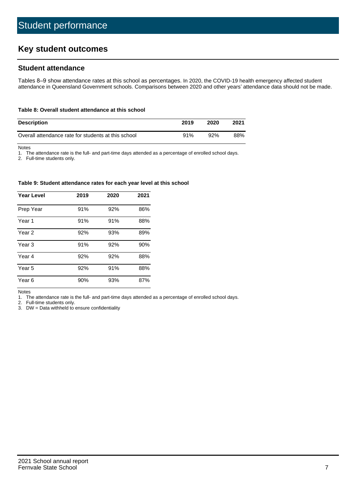# **Key student outcomes**

## **Student attendance**

Tables 8–9 show attendance rates at this school as percentages. In 2020, the COVID-19 health emergency affected student attendance in Queensland Government schools. Comparisons between 2020 and other years' attendance data should not be made.

#### **Table 8: Overall student attendance at this school**

| <b>Description</b>                                  | 2019 | 2020 | 2021 |
|-----------------------------------------------------|------|------|------|
| Overall attendance rate for students at this school | 91%  | 92%  | 88%  |

Notes

1. The attendance rate is the full- and part-time days attended as a percentage of enrolled school days.

2. Full-time students only.

#### **Table 9: Student attendance rates for each year level at this school**

| <b>Year Level</b> | 2019 | 2020 | 2021 |
|-------------------|------|------|------|
| Prep Year         | 91%  | 92%  | 86%  |
| Year <sub>1</sub> | 91%  | 91%  | 88%  |
| Year 2            | 92%  | 93%  | 89%  |
| Year 3            | 91%  | 92%  | 90%  |
| Year 4            | 92%  | 92%  | 88%  |
| Year 5            | 92%  | 91%  | 88%  |
| Year <sub>6</sub> | 90%  | 93%  | 87%  |

Notes

1. The attendance rate is the full- and part-time days attended as a percentage of enrolled school days.

2. Full-time students only.

3. DW = Data withheld to ensure confidentiality